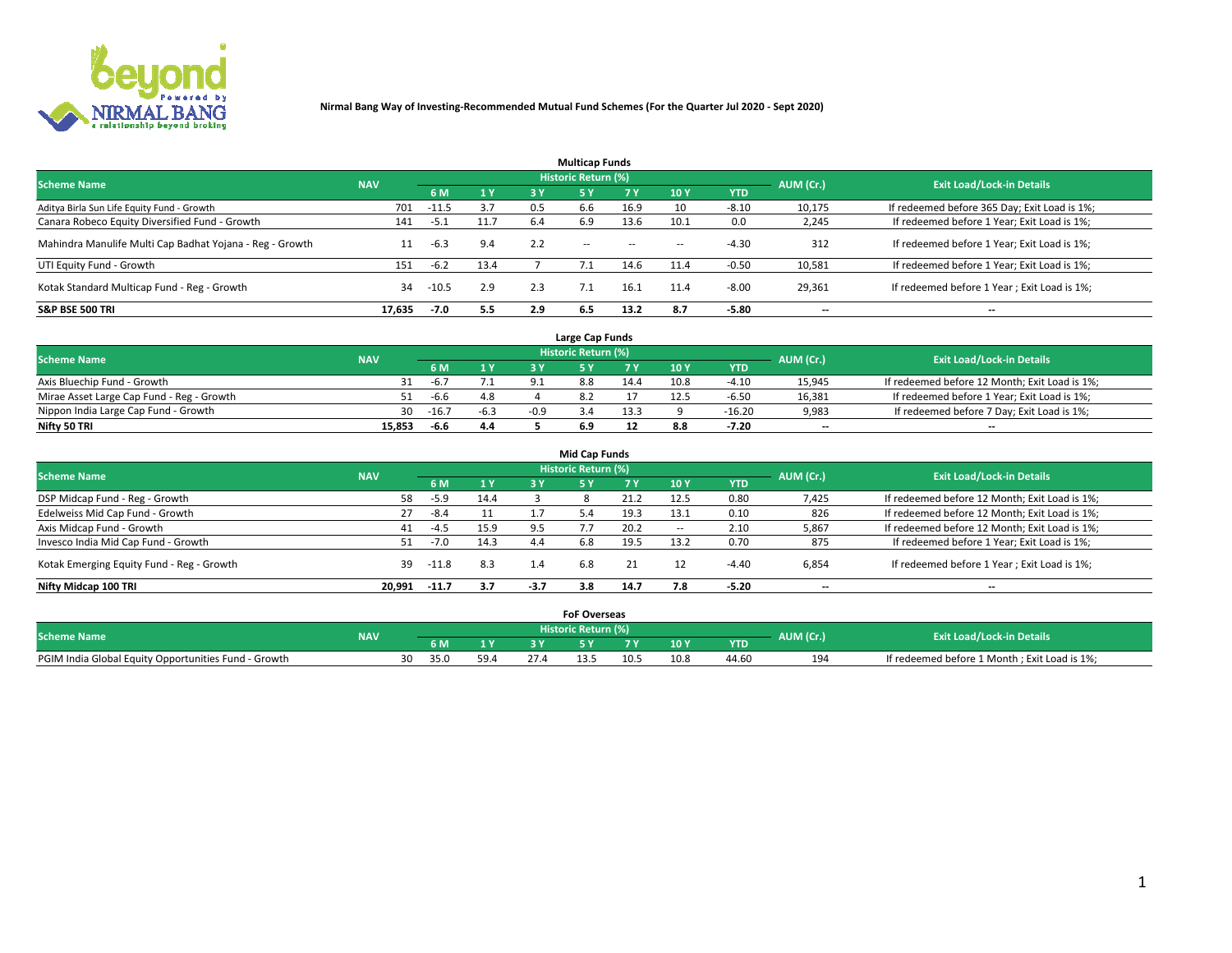

|                                                          |            |         |           |     | <b>Multicap Funds</b> |           |                          |            |           |                                              |
|----------------------------------------------------------|------------|---------|-----------|-----|-----------------------|-----------|--------------------------|------------|-----------|----------------------------------------------|
| <b>Scheme Name</b>                                       | <b>NAV</b> |         |           |     | Historic Return (%)   |           |                          |            | AUM (Cr.) | <b>Exit Load/Lock-in Details</b>             |
|                                                          |            | 6 M     | <b>1Y</b> | 3 Y | <b>5Y</b>             | <b>7Y</b> | 10Y                      | <b>YTD</b> |           |                                              |
| Aditya Birla Sun Life Equity Fund - Growth               | 701        | $-11.5$ | 3.7       | 0.5 | 6.6                   | 16.9      | 10                       | $-8.10$    | 10,175    | If redeemed before 365 Day; Exit Load is 1%; |
| Canara Robeco Equity Diversified Fund - Growth           | 141        | -5.1    | 11.7      | 6.4 | 6.9                   | 13.6      | 10.1                     | 0.0        | 2,245     | If redeemed before 1 Year; Exit Load is 1%;  |
| Mahindra Manulife Multi Cap Badhat Yojana - Reg - Growth | 11         | $-6.3$  | 9.4       | 2.2 | $\sim$ $-$            | $\sim$    | $\overline{\phantom{a}}$ | $-4.30$    | 312       | If redeemed before 1 Year; Exit Load is 1%;  |
| UTI Equity Fund - Growth                                 | 151        | $-6.2$  | 13.4      |     |                       | 14.6      | 11.4                     | $-0.50$    | 10,581    | If redeemed before 1 Year; Exit Load is 1%;  |
| Kotak Standard Multicap Fund - Reg - Growth              | 34         | $-10.5$ | 2.9       | 2.3 |                       | 16.1      | 11.4                     | $-8.00$    | 29,361    | If redeemed before 1 Year; Exit Load is 1%;  |
| <b>S&amp;P BSE 500 TRI</b>                               | 17.635     | $-7.0$  | 5.5       | 2.9 | 6.5                   | 13.2      | 8.7                      | $-5.80$    | --        | $- -$                                        |

|                                           |            |         |              |      | Large Cap Funds     |      |      |            |                          |                                               |
|-------------------------------------------|------------|---------|--------------|------|---------------------|------|------|------------|--------------------------|-----------------------------------------------|
| <b>Scheme Name</b>                        | <b>NAV</b> |         |              |      | Historic Return (%) |      |      |            | AUM (Cr.)                | <b>Exit Load/Lock-in Details</b>              |
|                                           |            | 6 M     | $\sqrt{1}$ Y |      |                     |      | 10 Y | <b>YTD</b> |                          |                                               |
| Axis Bluechip Fund - Growth               |            | -6.7    |              |      |                     | 14.4 | 10.8 | $-4.10$    | 15,945                   | If redeemed before 12 Month; Exit Load is 1%; |
| Mirae Asset Large Cap Fund - Reg - Growth |            | -6.6    | 4.8          |      |                     |      |      | $-6.50$    | 16,381                   | If redeemed before 1 Year; Exit Load is 1%;   |
| Nippon India Large Cap Fund - Growth      | 30         | $-16.7$ | $-6.3$       | -n q |                     | 13.3 |      | $-16.20$   | 9,983                    | If redeemed before 7 Day; Exit Load is 1%;    |
| Nifty 50 TRI                              | 15.853     | $-6.6$  | 4.4          |      | 6.9                 |      | 8.8  | $-7.20$    | $\overline{\phantom{a}}$ | $- -$                                         |

|                                           |            |        |      |        | <b>Mid Cap Funds</b>       |           |                          |            |                          |                                               |
|-------------------------------------------|------------|--------|------|--------|----------------------------|-----------|--------------------------|------------|--------------------------|-----------------------------------------------|
| <b>Scheme Name</b>                        | <b>NAV</b> |        |      |        | <b>Historic Return (%)</b> |           |                          |            | AUM (Cr.)                | <b>Exit Load/Lock-in Details</b>              |
|                                           |            | 6 M    | 1 Y  | 3 Y    |                            | <b>7Y</b> | 10Y                      | <b>YTD</b> |                          |                                               |
| DSP Midcap Fund - Reg - Growth            | 58         | $-5.9$ | 14.4 |        |                            | 21.2      | 12.5                     | 0.80       | 7,425                    | If redeemed before 12 Month; Exit Load is 1%; |
| Edelweiss Mid Cap Fund - Growth           | 27         | -8.4   | 11   |        | 5.4                        | 19.3      | 13.1                     | 0.10       | 826                      | If redeemed before 12 Month; Exit Load is 1%; |
| Axis Midcap Fund - Growth                 | 41         | $-4.5$ | 15.9 | 9.5    |                            | 20.2      | $\overline{\phantom{a}}$ | 2.10       | 5,867                    | If redeemed before 12 Month; Exit Load is 1%; |
| Invesco India Mid Cap Fund - Growth       | 51         | $-7.0$ | 14.3 | 4.4    | 6.8                        | 19.5      | 13.2                     | 0.70       | 875                      | If redeemed before 1 Year; Exit Load is 1%;   |
| Kotak Emerging Equity Fund - Reg - Growth | 39         | -11.8  | 8.3  | 1.4    | 6.8                        | 21        |                          | $-4.40$    | 6,854                    | If redeemed before 1 Year; Exit Load is 1%;   |
| Nifty Midcap 100 TRI                      | 20.991     | -11.7  | 3.7  | $-3.7$ | 3.8                        | 14.7      | 7.8                      | -5.20      | $\overline{\phantom{a}}$ | $- -$                                         |

|                                                      |            |            |      |      | <b>FoF Overseas</b>        |      |      |            |           |                                              |
|------------------------------------------------------|------------|------------|------|------|----------------------------|------|------|------------|-----------|----------------------------------------------|
| <b>Scheme Name</b>                                   | <b>NAV</b> |            |      |      | <b>Historic Return (%)</b> |      |      |            | AUM (Cr.) | <b>Exit Load/Lock-in Details</b>             |
|                                                      |            | 6 M        |      |      |                            |      | 10Y  | <b>YTD</b> |           |                                              |
| PGIM India Global Equity Opportunities Fund - Growth |            | 30<br>35.0 | 59.4 | 27.4 | 13.5                       | 10.5 | 10.8 | 44.60      | 194       | If redeemed before 1 Month; Exit Load is 1%; |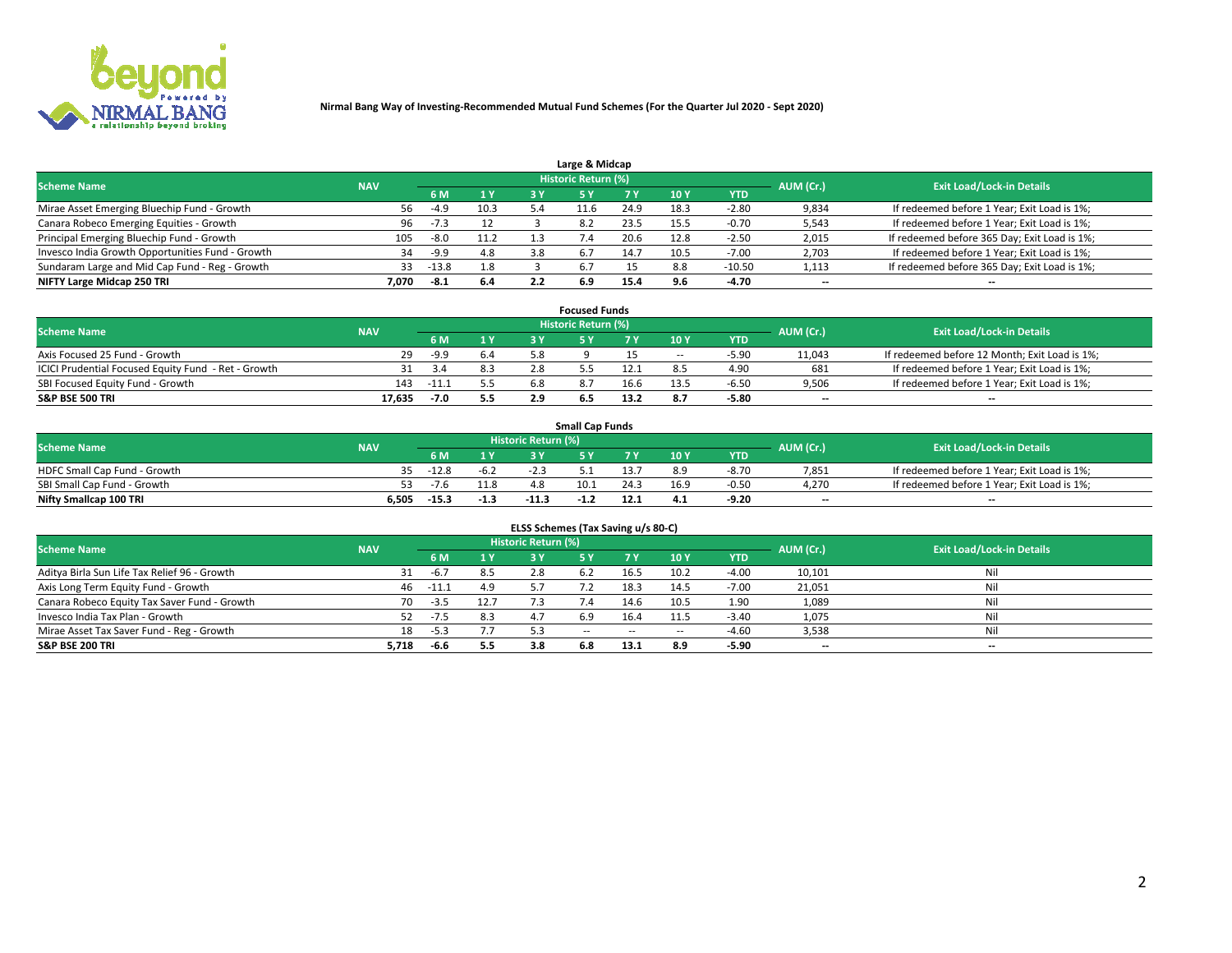

|                                                  |            |         |      |     | Large & Midcap      |      |      |            |           |                                              |
|--------------------------------------------------|------------|---------|------|-----|---------------------|------|------|------------|-----------|----------------------------------------------|
| <b>Scheme Name</b>                               | <b>NAV</b> |         |      |     | Historic Return (%) |      |      |            | AUM (Cr.) | <b>Exit Load/Lock-in Details</b>             |
|                                                  |            | 6 M     | 1 Y  |     |                     | 7 V  | 10Y  | <b>YTD</b> |           |                                              |
| Mirae Asset Emerging Bluechip Fund - Growth      | 56         | $-4.9$  | 10.3 |     | 11.b                | 24.9 | 18.3 | $-2.80$    | 9,834     | If redeemed before 1 Year; Exit Load is 1%;  |
| Canara Robeco Emerging Equities - Growth         | 96         | $-7.3$  | 12   |     | 8.2                 | 23.5 | 15.5 | $-0.70$    | 5,543     | If redeemed before 1 Year; Exit Load is 1%;  |
| Principal Emerging Bluechip Fund - Growth        | 105        | -8.0    | 11.2 |     | $\sqrt{4}$          | 20.6 | 12.8 | $-2.50$    | 2,015     | If redeemed before 365 Day; Exit Load is 1%; |
| Invesco India Growth Opportunities Fund - Growth | 34         | -9.9    | 4.8  | 3.8 | 6.7                 | 14.7 | 10.5 | $-7.00$    | 2,703     | If redeemed before 1 Year; Exit Load is 1%;  |
| Sundaram Large and Mid Cap Fund - Reg - Growth   | 33         | $-13.8$ | 1.8  |     | -6.7                |      | 8.8  | $-10.50$   | 1,113     | If redeemed before 365 Day; Exit Load is 1%; |
| NIFTY Large Midcap 250 TRI                       | 7.070      | -8.1    | 6.4  |     | 6.9                 | 15.4 |      | -4.70      | $-$       | $- -$                                        |

|                                                     |            |         |                | <b>Focused Funds</b>       |      |        |            |                          |                                               |
|-----------------------------------------------------|------------|---------|----------------|----------------------------|------|--------|------------|--------------------------|-----------------------------------------------|
| <b>Scheme Name</b>                                  | <b>NAV</b> |         |                | <b>Historic Return (%)</b> |      |        |            | AUM (Cr.)                | <b>Exit Load/Lock-in Details</b>              |
|                                                     |            | 6 M     | 1 <sub>V</sub> |                            |      | 10 Y   | <b>YTD</b> |                          |                                               |
| Axis Focused 25 Fund - Growth                       | 29         | $-9.9$  | 6.4            |                            |      | $\sim$ | $-5.90$    | 11,043                   | If redeemed before 12 Month; Exit Load is 1%; |
| ICICI Prudential Focused Equity Fund - Ret - Growth | 31         | 3.4     | 8.3            |                            |      |        | 4.90       | 681                      | If redeemed before 1 Year; Exit Load is 1%;   |
| SBI Focused Equity Fund - Growth                    | 143        | $-11.2$ | 5.5            |                            | 16.6 | 13.5   | $-6.5o$    | 9,506                    | If redeemed before 1 Year; Exit Load is 1%;   |
| S&P BSE 500 TRI                                     | 17.635     | -7.0    | 5.5            |                            | 13.2 |        | $-5.80$    | $\overline{\phantom{a}}$ | $- -$                                         |

|                              |            |         |        |                     | <b>Small Cap Funds</b> |      |                 |            |           |                                             |
|------------------------------|------------|---------|--------|---------------------|------------------------|------|-----------------|------------|-----------|---------------------------------------------|
| <b>Scheme Name</b>           | <b>NAV</b> |         |        | Historic Return (%) |                        |      |                 |            | AUM (Cr.) | <b>Exit Load/Lock-in Details</b>            |
|                              |            | 6 M     |        |                     |                        |      | 10 <sub>Y</sub> | <b>YTD</b> |           |                                             |
| HDFC Small Cap Fund - Growth | 35.        | $-12.8$ | $-6.2$ |                     |                        |      | яq              | $-8.70$    | 7,851     | If redeemed before 1 Year; Exit Load is 1%; |
| SBI Small Cap Fund - Growth  |            | $-7.6$  | 11.8   |                     | 10.1                   | 24.3 | 16.9            | $-0.50$    | 4,270     | If redeemed before 1 Year; Exit Load is 1%; |
| Nifty Smallcap 100 TRI       | 6.505      | $-15.3$ | $-1.3$ | $-11.3$             |                        |      | 4.1             | -9.20      | $- -$     | $- -$                                       |

| ELSS Schemes (Tax Saving u/s 80-C)           |            |         |      |                            |           |        |                          |            |                          |                                  |  |  |  |
|----------------------------------------------|------------|---------|------|----------------------------|-----------|--------|--------------------------|------------|--------------------------|----------------------------------|--|--|--|
| <b>Scheme Name</b>                           | <b>NAV</b> |         |      | <b>Historic Return (%)</b> |           |        |                          |            | AUM (Cr.)                | <b>Exit Load/Lock-in Details</b> |  |  |  |
|                                              |            | - 6 M   | 1Y   | 73 Y                       | <b>5Y</b> | 7 Y    | 10 Y                     | <b>YTD</b> |                          |                                  |  |  |  |
| Aditya Birla Sun Life Tax Relief 96 - Growth |            | $-6.7$  | 8.5  |                            |           | 16.5   | 10.2                     | $-4.00$    | 10,101                   | Nil                              |  |  |  |
| Axis Long Term Equity Fund - Growth          | 46         | $-11.1$ | 4.9  | 57                         |           | 18.3   | 14.5                     | $-7.00$    | 21,051                   | Nil                              |  |  |  |
| Canara Robeco Equity Tax Saver Fund - Growth | 70         | $-3.5$  | 12.7 | 7.3                        |           | 14.6   | 10.5                     | 1.90       | 1,089                    | Nil                              |  |  |  |
| Invesco India Tax Plan - Growth              | 52         | $-7.5$  | 8.3  | 4.7                        | 6.9       | 16.4   | 11.5                     | $-3.40$    | 1,075                    | Nil                              |  |  |  |
| Mirae Asset Tax Saver Fund - Reg - Growth    | 18         | $-5.3$  | 7.7  |                            | $- -$     | $\sim$ | $\overline{\phantom{a}}$ | $-4.60$    | 3,538                    | Nil                              |  |  |  |
| S&P BSE 200 TRI                              | 5,718      | -6.6    | 5.5  | 3.8                        | 6.8       | 13.1   | 8.9                      | $-5.90$    | $\overline{\phantom{a}}$ | $- -$                            |  |  |  |

# 2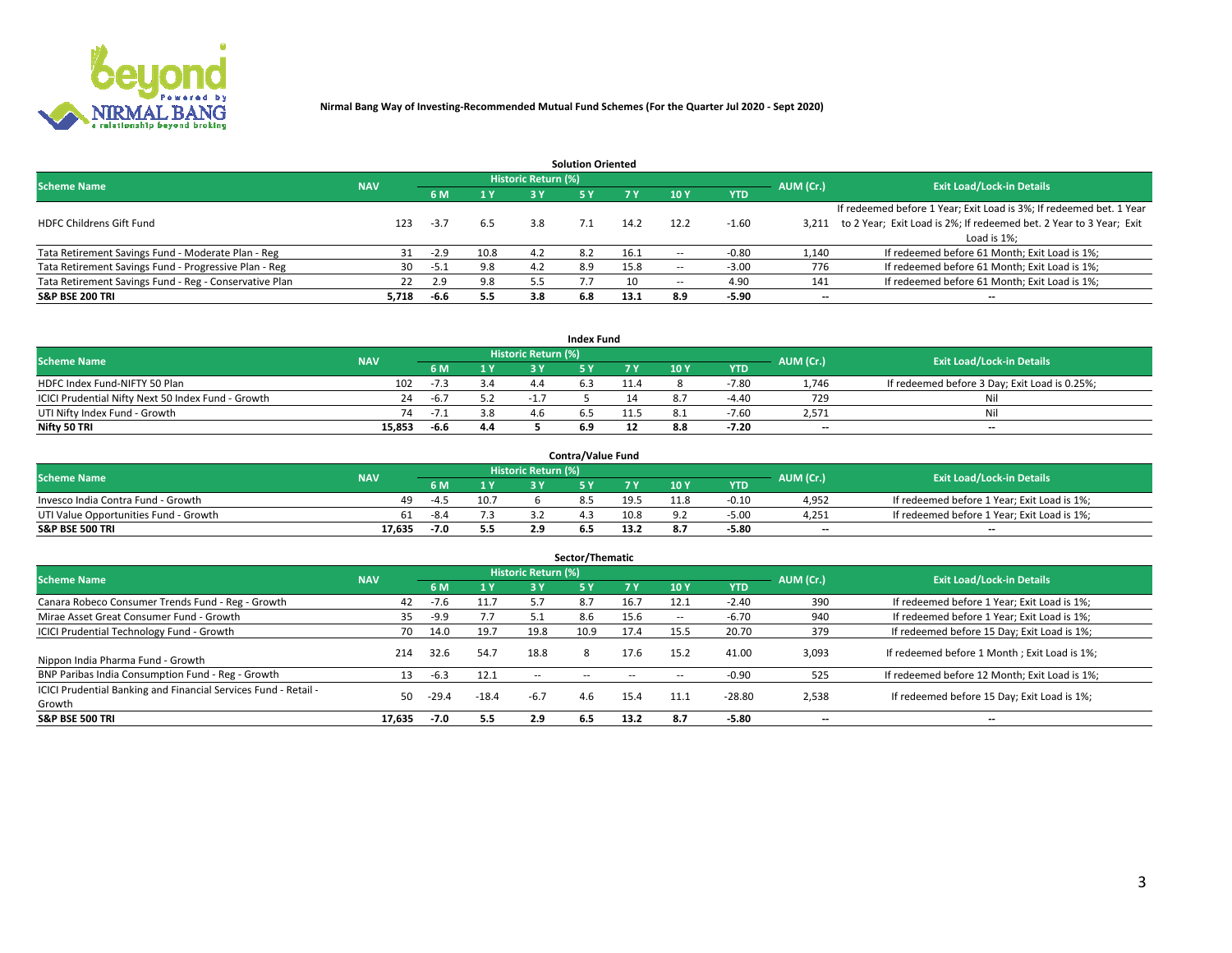

|                                                        |            |            |      |                            | <b>Solution Oriented</b> |      |                          |            |                          |                                                                     |
|--------------------------------------------------------|------------|------------|------|----------------------------|--------------------------|------|--------------------------|------------|--------------------------|---------------------------------------------------------------------|
| <b>Scheme Name</b>                                     | <b>NAV</b> |            |      | <b>Historic Return (%)</b> |                          |      |                          |            | AUM (Cr.)                | <b>Exit Load/Lock-in Details</b>                                    |
|                                                        |            | <b>6 M</b> | 1 Y  | 3 Y                        |                          |      | 10Y                      | <b>YTD</b> |                          |                                                                     |
|                                                        |            |            |      |                            |                          |      |                          |            |                          | If redeemed before 1 Year; Exit Load is 3%; If redeemed bet. 1 Year |
| <b>HDFC Childrens Gift Fund</b>                        | 123        | $-3.7$     | 6.5  | 3.8                        |                          | 14.2 | 12.2                     | $-1.60$    | 3.211                    | to 2 Year; Exit Load is 2%; If redeemed bet. 2 Year to 3 Year; Exit |
|                                                        |            |            |      |                            |                          |      |                          |            |                          | Load is 1%;                                                         |
| Tata Retirement Savings Fund - Moderate Plan - Reg     | 31         | $-2.9$     | 10.8 | 4.2                        | 8.2                      | 16.1 | --                       | -0.80      | 1,140                    | If redeemed before 61 Month; Exit Load is 1%;                       |
| Tata Retirement Savings Fund - Progressive Plan - Reg  | 30         | -5.1       | 9.8  | 4.2                        | 8.9                      | 15.8 | $\overline{\phantom{a}}$ | $-3.00$    | 776                      | If redeemed before 61 Month; Exit Load is 1%;                       |
| Tata Retirement Savings Fund - Reg - Conservative Plan | 22         | 2.9        | 9.8  | 5.5                        |                          | 10   | --                       | 4.90       | 141                      | If redeemed before 61 Month; Exit Load is 1%;                       |
| S&P BSE 200 TRI                                        | 5,718      | -6.6       | 5.5  | 3.8                        | 6.8                      | 13.1 | 8.9                      | $-5.90$    | $\overline{\phantom{a}}$ | $- -$                                                               |

|                                                    |            |        |                |                            | <b>Index Fund</b> |       |      |            |                          |                                               |
|----------------------------------------------------|------------|--------|----------------|----------------------------|-------------------|-------|------|------------|--------------------------|-----------------------------------------------|
| <b>Scheme Name</b>                                 | <b>NAV</b> |        |                | <b>Historic Return (%)</b> |                   |       |      |            | AUM (Cr.)                | <b>Exit Load/Lock-in Details</b>              |
|                                                    |            |        | $\sqrt{1}$ $V$ | 2 V                        |                   | 7 V   | 10 Y | <b>YTD</b> |                          |                                               |
| HDFC Index Fund-NIFTY 50 Plan                      | 102        | -7.3   | 3.4            |                            |                   |       |      | $-7.80$    | 1.746                    | If redeemed before 3 Day; Exit Load is 0.25%; |
| ICICI Prudential Nifty Next 50 Index Fund - Growth | 24         | $-6.7$ |                |                            |                   |       |      | $-4.40$    | 729                      | Nil                                           |
| UTI Nifty Index Fund - Growth                      | 74         | $-1$   | 3.8            |                            |                   | -11.7 |      | $-7.60$    | 2,571                    | Nil                                           |
| Nifty 50 TRI                                       | 15,853     | $-6.6$ | 4.4            |                            |                   |       | 8.8  | $-7.20$    | $\overline{\phantom{a}}$ | $- -$                                         |

|                                       |            |        |      |                            | <b>Contra/Value Fund</b> |      |      |            |                          |                                             |
|---------------------------------------|------------|--------|------|----------------------------|--------------------------|------|------|------------|--------------------------|---------------------------------------------|
| <b>Scheme Name</b>                    | <b>NAV</b> |        |      | <b>Historic Return (%)</b> |                          |      |      |            | AUM (Cr.)                | <b>Exit Load/Lock-in Details</b>            |
|                                       |            |        | 1 V  |                            |                          | 7 V  | 10Y  | <b>YTD</b> |                          |                                             |
| Invesco India Contra Fund - Growth    | 49         | $-4.5$ | 10.7 |                            |                          | 19.5 | 11.8 | $-0.10$    | 4,952                    | If redeemed before 1 Year; Exit Load is 1%; |
| UTI Value Opportunities Fund - Growth | 61         | -8.4   |      |                            |                          | 10.8 |      | $-5.0C$    | 4,251                    | If redeemed before 1 Year; Exit Load is 1%; |
| <b>S&amp;P BSE 500 TRI</b>            | 17.635     | -7.0   | 5.5  |                            |                          |      |      | $-5.80$    | $\overline{\phantom{a}}$ | $- -$                                       |

|                                                                           |            |         |                |                            | Sector/Thematic |           |                          |            |           |                                               |
|---------------------------------------------------------------------------|------------|---------|----------------|----------------------------|-----------------|-----------|--------------------------|------------|-----------|-----------------------------------------------|
| <b>Scheme Name</b>                                                        | <b>NAV</b> |         |                | <b>Historic Return (%)</b> |                 |           |                          |            | AUM (Cr.) | <b>Exit Load/Lock-in Details</b>              |
|                                                                           |            | 6 M     | 1 <sub>Y</sub> | 3 Y                        | <b>5Y</b>       | <b>7Y</b> | 10Y                      | <b>YTD</b> |           |                                               |
| Canara Robeco Consumer Trends Fund - Reg - Growth                         | 42         | $-7.6$  |                | 57                         | 8.7             | 16.7      | 12.1                     | $-2.40$    | 390       | If redeemed before 1 Year; Exit Load is 1%;   |
| Mirae Asset Great Consumer Fund - Growth                                  | 35         | $-9.9$  |                | 5.1                        | 8.6             | 15.6      | $\overline{\phantom{a}}$ | $-6.70$    | 940       | If redeemed before 1 Year; Exit Load is 1%;   |
| <b>ICICI Prudential Technology Fund - Growth</b>                          | 70         | 14.0    | 19.7           | 19.8                       | 10.9            | 17.4      | 15.5                     | 20.70      | 379       | If redeemed before 15 Day; Exit Load is 1%;   |
| Nippon India Pharma Fund - Growth                                         | 214        | 32.6    | 54.7           | 18.8                       | 8               | 17.6      | 15.2                     | 41.00      | 3,093     | If redeemed before 1 Month; Exit Load is 1%;  |
| BNP Paribas India Consumption Fund - Reg - Growth                         | 13         | $-6.3$  | 12.1           | --                         |                 |           | -                        | $-0.90$    | 525       | If redeemed before 12 Month; Exit Load is 1%; |
| ICICI Prudential Banking and Financial Services Fund - Retail -<br>Growth | 50         | $-29.4$ | $-18.4$        | $-6.7$                     | 4.6             | 15.4      | 11.1                     | $-28.80$   | 2,538     | If redeemed before 15 Day; Exit Load is 1%;   |
| <b>S&amp;P BSE 500 TRI</b>                                                | 17,635     | $-7.0$  | 5.5            | 2.9                        | 6.5             | 13.2      | 8.7                      | $-5.80$    |           | --                                            |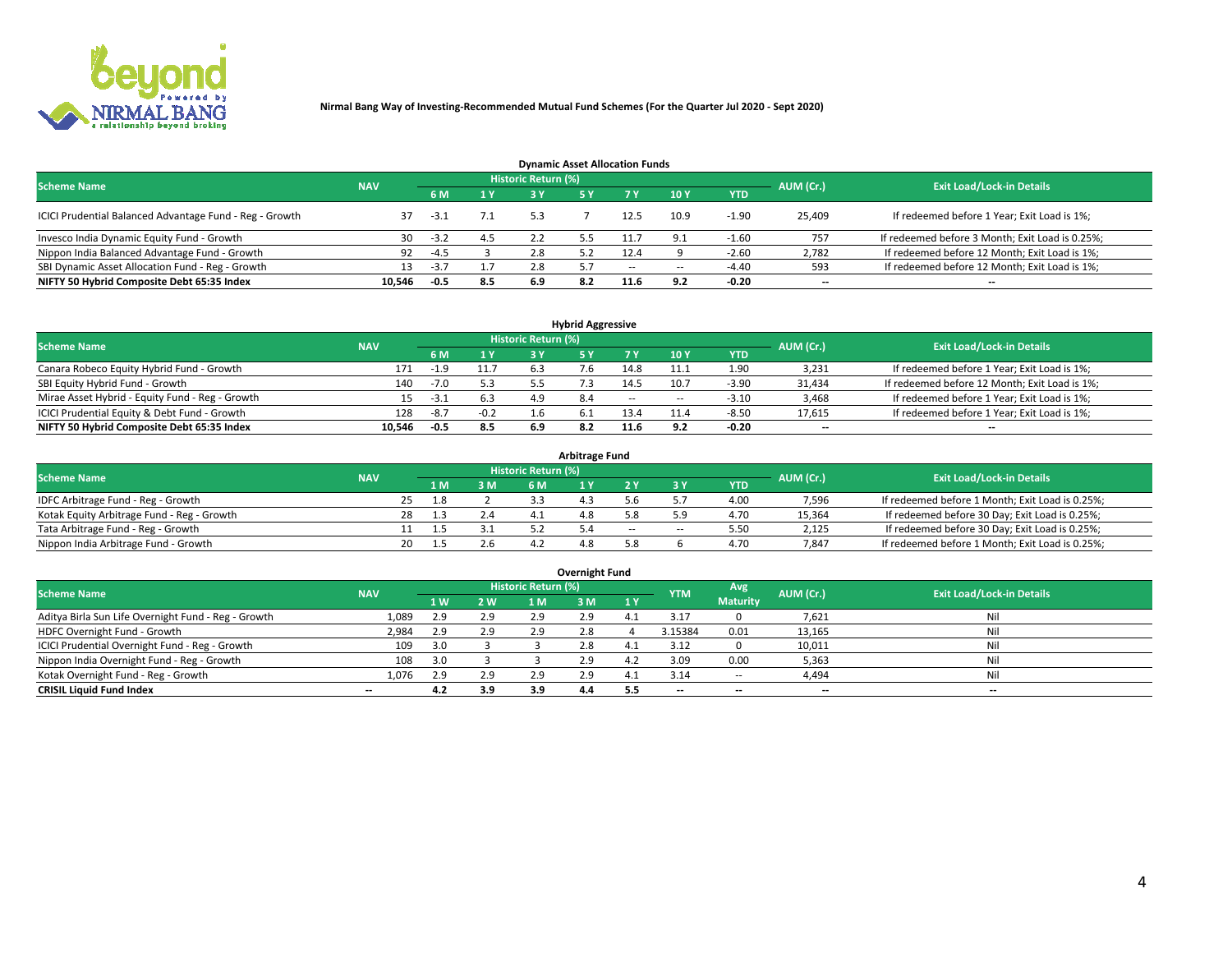

| <b>Dynamic Asset Allocation Funds</b>                   |            |        |     |                            |     |        |                          |            |           |                                                 |  |  |  |  |
|---------------------------------------------------------|------------|--------|-----|----------------------------|-----|--------|--------------------------|------------|-----------|-------------------------------------------------|--|--|--|--|
| <b>Scheme Name</b>                                      | <b>NAV</b> |        |     | <b>Historic Return (%)</b> |     |        |                          |            | AUM (Cr.) | <b>Exit Load/Lock-in Details</b>                |  |  |  |  |
|                                                         |            | 6 M    | 1 Y |                            |     |        | $-10Y$                   | <b>YTD</b> |           |                                                 |  |  |  |  |
| ICICI Prudential Balanced Advantage Fund - Reg - Growth |            | $-3.1$ |     | 5.3                        |     |        | 10.9                     | $-1.90$    | 25,409    | If redeemed before 1 Year; Exit Load is 1%;     |  |  |  |  |
| Invesco India Dynamic Equity Fund - Growth              | 30         | $-3.2$ | 4.5 |                            |     |        | 9.1                      | $-1.60$    | 757       | If redeemed before 3 Month; Exit Load is 0.25%; |  |  |  |  |
| Nippon India Balanced Advantage Fund - Growth           | 92         | $-4.5$ |     | 2.8                        |     | 12.4   |                          | $-2.60$    | 2,782     | If redeemed before 12 Month; Exit Load is 1%;   |  |  |  |  |
| SBI Dynamic Asset Allocation Fund - Reg - Growth        |            | $-3.7$ |     | 2.8                        |     | $\sim$ | $\overline{\phantom{a}}$ | -4.40      | 593       | If redeemed before 12 Month; Exit Load is 1%;   |  |  |  |  |
| NIFTY 50 Hybrid Composite Debt 65:35 Index              | 10,546     | $-0.5$ | 8.5 | 6.9                        | 8.2 | 11.6   | 9.2                      | $-0.20$    | $- -$     | $- -$                                           |  |  |  |  |

| <b>Hybrid Aggressive</b>                        |            |        |        |                     |  |        |                          |            |           |                                               |  |  |  |  |
|-------------------------------------------------|------------|--------|--------|---------------------|--|--------|--------------------------|------------|-----------|-----------------------------------------------|--|--|--|--|
| <b>Scheme Name</b>                              | <b>NAV</b> |        |        | Historic Return (%) |  |        |                          |            | AUM (Cr.) | <b>Exit Load/Lock-in Details</b>              |  |  |  |  |
|                                                 |            | 6 M    | 1 Y    | RУ                  |  |        | 10Y                      | <b>YTD</b> |           |                                               |  |  |  |  |
| Canara Robeco Equity Hybrid Fund - Growth       | 171        | $-1.9$ | 11.7   |                     |  | 14.8   | 11.1                     | 1.90       | 3,231     | If redeemed before 1 Year; Exit Load is 1%;   |  |  |  |  |
| SBI Equity Hybrid Fund - Growth                 | 140        | $-7.0$ | 5.3    |                     |  | 14.5   | 10.7                     | $-3.90$    | 31,434    | If redeemed before 12 Month; Exit Load is 1%; |  |  |  |  |
| Mirae Asset Hybrid - Equity Fund - Reg - Growth |            | -3.1   | 6.3    | 4.9                 |  | $\sim$ | $\overline{\phantom{a}}$ | $-3.10$    | 3,468     | If redeemed before 1 Year; Exit Load is 1%;   |  |  |  |  |
| ICICI Prudential Equity & Debt Fund - Growth    | 128        | $-8.7$ | $-0.2$ |                     |  | 13.4   | 11.4                     | $-8.50$    | 17,615    | If redeemed before 1 Year; Exit Load is 1%;   |  |  |  |  |
| NIFTY 50 Hybrid Composite Debt 65:35 Index      | 10.546     | -0.5   | 8.5    | 6.º                 |  | 11.6   |                          | $-0.20$    | --        | $- -$                                         |  |  |  |  |

| <b>Arbitrage Fund</b>                      |            |                                  |     |          |           |  |     |        |            |        |                                                 |  |  |  |
|--------------------------------------------|------------|----------------------------------|-----|----------|-----------|--|-----|--------|------------|--------|-------------------------------------------------|--|--|--|
| <b>Scheme Name</b>                         | AUM (Cr.)  | <b>Exit Load/Lock-in Details</b> |     |          |           |  |     |        |            |        |                                                 |  |  |  |
|                                            | <b>NAV</b> |                                  | LΜ  | 3 M      | <b>6M</b> |  |     |        | <b>YTD</b> |        |                                                 |  |  |  |
| IDFC Arbitrage Fund - Reg - Growth         |            | 25                               | 1.8 |          |           |  |     |        | 4.00       | 7,596  | If redeemed before 1 Month; Exit Load is 0.25%; |  |  |  |
| Kotak Equity Arbitrage Fund - Reg - Growth |            |                                  |     | $\sim$ 4 |           |  |     |        | 4.70       | 15,364 | If redeemed before 30 Day; Exit Load is 0.25%;  |  |  |  |
| Tata Arbitrage Fund - Reg - Growth         |            |                                  |     |          |           |  | $-$ | $\sim$ | 5.50       | 2,125  | If redeemed before 30 Day; Exit Load is 0.25%;  |  |  |  |
| Nippon India Arbitrage Fund - Growth       |            | 20                               |     |          |           |  |     |        | 4.70       | 7.847  | If redeemed before 1 Month; Exit Load is 0.25%; |  |  |  |

| Overnight Fund                                      |            |     |     |                     |     |           |            |                 |                          |                                  |  |  |  |
|-----------------------------------------------------|------------|-----|-----|---------------------|-----|-----------|------------|-----------------|--------------------------|----------------------------------|--|--|--|
| <b>Scheme Name</b>                                  | <b>NAV</b> |     |     | Historic Return (%) |     |           | <b>YTM</b> | Avg             | AUM (Cr.)                | <b>Exit Load/Lock-in Details</b> |  |  |  |
|                                                     |            | 1 W | 2 W | 1 M                 | ЗM  | <b>1Y</b> |            | <b>Maturity</b> |                          |                                  |  |  |  |
| Aditya Birla Sun Life Overnight Fund - Reg - Growth | 1,089      | 2.9 | 2.9 | 2.9                 | 2.9 |           | 3.17       |                 | 7,621                    | Nil                              |  |  |  |
| HDFC Overnight Fund - Growth                        | 2,984      | 2.9 | 2.9 | 2.9                 | 2.8 |           | 3.15384    | 0.01            | 13,165                   | Nil                              |  |  |  |
| ICICI Prudential Overnight Fund - Reg - Growth      | 109        | 3.0 |     |                     | 2.8 |           | 3.12       |                 | 10,011                   | Nil                              |  |  |  |
| Nippon India Overnight Fund - Reg - Growth          | 108        | 3.0 |     |                     | 2.9 | 4.2       | 3.09       | 0.00            | 5,363                    | Nil                              |  |  |  |
| Kotak Overnight Fund - Reg - Growth                 | 1,076      | 2.9 | 2.9 | 2.9                 |     |           | 3.14       | $\sim$ $-$      | 4,494                    | Nil                              |  |  |  |
| <b>CRISIL Liquid Fund Index</b>                     | $- -$      | 4.2 | 3.9 | 3.9                 | 4.4 | 5.5       | --         | $- -$           | $\overline{\phantom{a}}$ | $- -$                            |  |  |  |

### **Overnight Fund**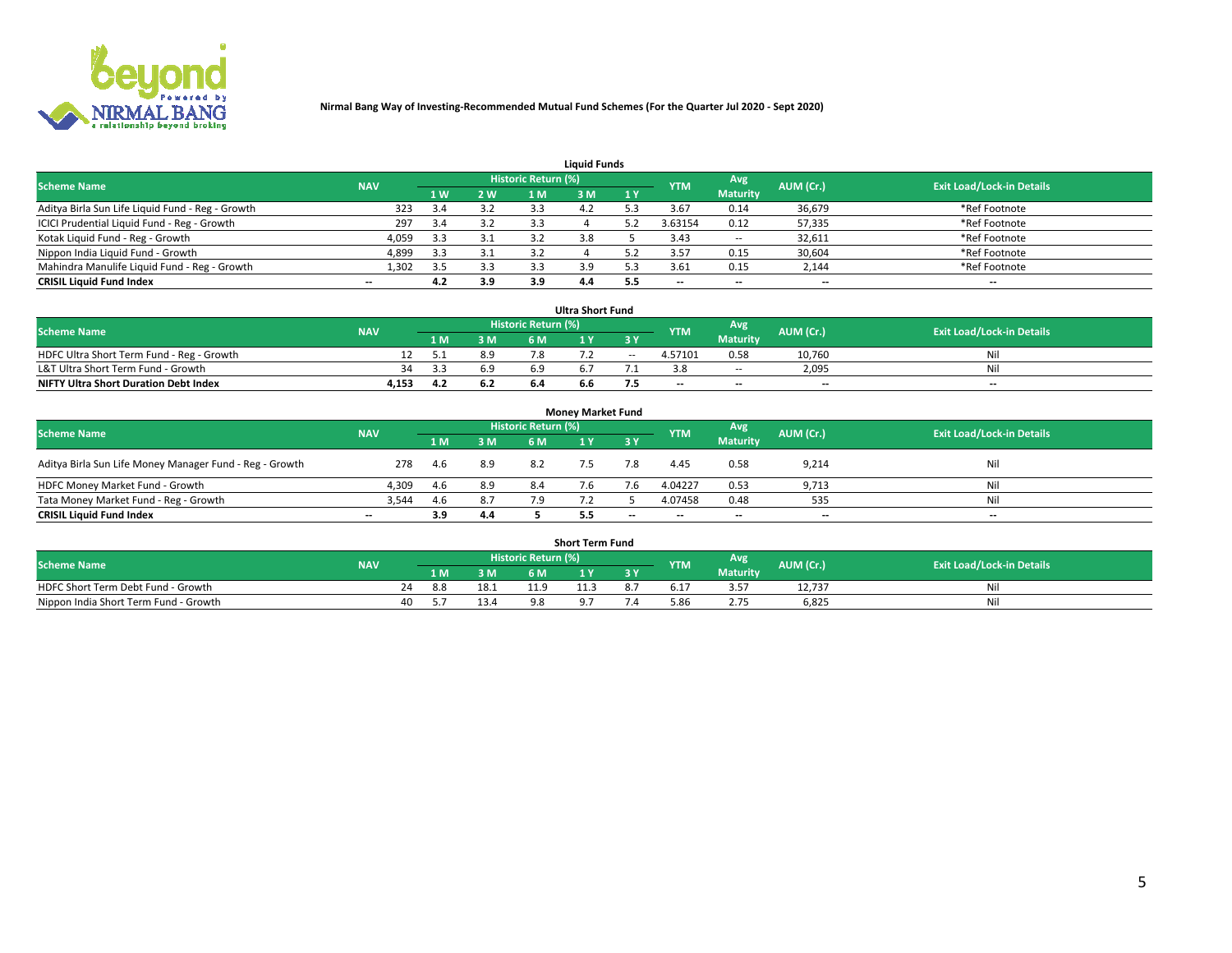

| <b>Liquid Funds</b>                              |            |     |     |                     |     |      |            |                 |           |                                  |  |  |  |  |
|--------------------------------------------------|------------|-----|-----|---------------------|-----|------|------------|-----------------|-----------|----------------------------------|--|--|--|--|
| <b>Scheme Name</b>                               | <b>NAV</b> |     |     | Historic Return (%) |     |      | <b>YTM</b> | <b>Avg</b>      | AUM (Cr.) | <b>Exit Load/Lock-in Details</b> |  |  |  |  |
|                                                  |            | 4W  | 2 W | 1 M                 | M   | /1 Y |            | <b>Maturity</b> |           |                                  |  |  |  |  |
| Aditya Birla Sun Life Liquid Fund - Reg - Growth | 323        | 3.4 | 3.2 | 3.3                 | 4,  |      | 3.67       | 0.14            | 36,679    | *Ref Footnote                    |  |  |  |  |
| ICICI Prudential Liquid Fund - Reg - Growth      | 297        | 3.4 | 3.2 | 3.3                 |     |      | 3.63154    | 0.12            | 57,335    | *Ref Footnote                    |  |  |  |  |
| Kotak Liquid Fund - Reg - Growth                 | 4,059      | 3.3 | 3.1 |                     |     |      | 3.43       | $\sim$ $-$      | 32,611    | *Ref Footnote                    |  |  |  |  |
| Nippon India Liquid Fund - Growth                | 4,899      | 3.3 | 3.1 | 3.2                 |     |      | 3.57       | 0.15            | 30,604    | *Ref Footnote                    |  |  |  |  |
| Mahindra Manulife Liquid Fund - Reg - Growth     | 1,302      | 3.5 | 3.3 |                     |     |      | 3.61       | 0.15            | 2,144     | *Ref Footnote                    |  |  |  |  |
| <b>CRISIL Liquid Fund Index</b>                  | $- -$      | 4.2 | 3.9 | 3.9                 | 4.4 | 5.5  | --         | $- -$           | --        | $- -$                            |  |  |  |  |

| <b>Ultra Short Fund</b>                      |            |      |     |                            |     |        |                          |                 |                          |                                  |  |  |  |  |
|----------------------------------------------|------------|------|-----|----------------------------|-----|--------|--------------------------|-----------------|--------------------------|----------------------------------|--|--|--|--|
| <b>Scheme Name</b>                           | <b>NAV</b> |      |     | <b>Historic Return (%)</b> |     |        | <b>YTM</b>               | <b>Avg</b>      | AUM (Cr.)                | <b>Exit Load/Lock-in Details</b> |  |  |  |  |
|                                              |            | 1 M  | 3 M | 6 M                        |     | 3 Y    |                          | <b>Maturity</b> |                          |                                  |  |  |  |  |
| HDFC Ultra Short Term Fund - Reg - Growth    |            |      | 8.9 |                            |     | $\sim$ | 4.57101                  | 0.58            | 10.760                   | Nil                              |  |  |  |  |
| L&T Ultra Short Term Fund - Growth           | 34         | -2.2 | 6.9 |                            |     |        |                          | <b>COLUM</b>    | 2,095                    | Nil                              |  |  |  |  |
| <b>NIFTY Ultra Short Duration Debt Index</b> | 4,153      | 4.2  | 6.2 | 6.4                        | b.b |        | $\overline{\phantom{a}}$ | $- -$           | $\overline{\phantom{a}}$ | $- -$                            |  |  |  |  |

| <b>Money Market Fund</b>                                |            |       |     |                     |  |       |                          |                 |                          |                                  |  |  |  |  |
|---------------------------------------------------------|------------|-------|-----|---------------------|--|-------|--------------------------|-----------------|--------------------------|----------------------------------|--|--|--|--|
| <b>Scheme Name</b>                                      | <b>NAV</b> |       |     | Historic Return (%) |  |       | <b>YTM</b>               | Avg             | AUM (Cr.)                | <b>Exit Load/Lock-in Details</b> |  |  |  |  |
|                                                         |            | 1 M   | 3 M | 6 M                 |  | 3 Y   |                          | <b>Maturity</b> |                          |                                  |  |  |  |  |
| Aditya Birla Sun Life Money Manager Fund - Reg - Growth | 278        | -4.6  | 8.9 | 8.2                 |  |       | 4.45                     | 0.58            | 9,214                    | Nil                              |  |  |  |  |
| HDFC Money Market Fund - Growth                         | 4,309      | - 4.6 | 8.9 | 8.4                 |  |       | 4.04227                  | 0.53            | 9,713                    | Nil                              |  |  |  |  |
| Tata Money Market Fund - Reg - Growth                   | 3,544      | 4.6   | 8.7 | 7.9                 |  |       | 4.07458                  | 0.48            | 535                      | Nil                              |  |  |  |  |
| <b>CRISIL Liquid Fund Index</b>                         | $- -$      | 3.9   | 4.4 |                     |  | $- -$ | $\overline{\phantom{a}}$ | $- -$           | $\overline{\phantom{a}}$ | $- -$                            |  |  |  |  |

|                                       |            |       |      |                     | <b>Short Term Fund</b> |    |      |                 |           |                                  |
|---------------------------------------|------------|-------|------|---------------------|------------------------|----|------|-----------------|-----------|----------------------------------|
| <b>Scheme Name</b>                    | <b>NAV</b> |       |      | Historic Return (%) |                        |    | YTM  | Avg             | AUM (Cr.) | <b>Exit Load/Lock-in Details</b> |
|                                       |            | 1 M . | 3 M  | 6 M                 | l M                    | 2V |      | <b>Maturity</b> |           |                                  |
| HDFC Short Term Debt Fund - Growth    |            | 8.8   | 18.1 |                     | 11.3                   |    | 17.د | - --            | 12,737    | M                                |
| Nippon India Short Term Fund - Growth |            | 40    |      |                     |                        |    | 5.86 |                 | 6,825     | N                                |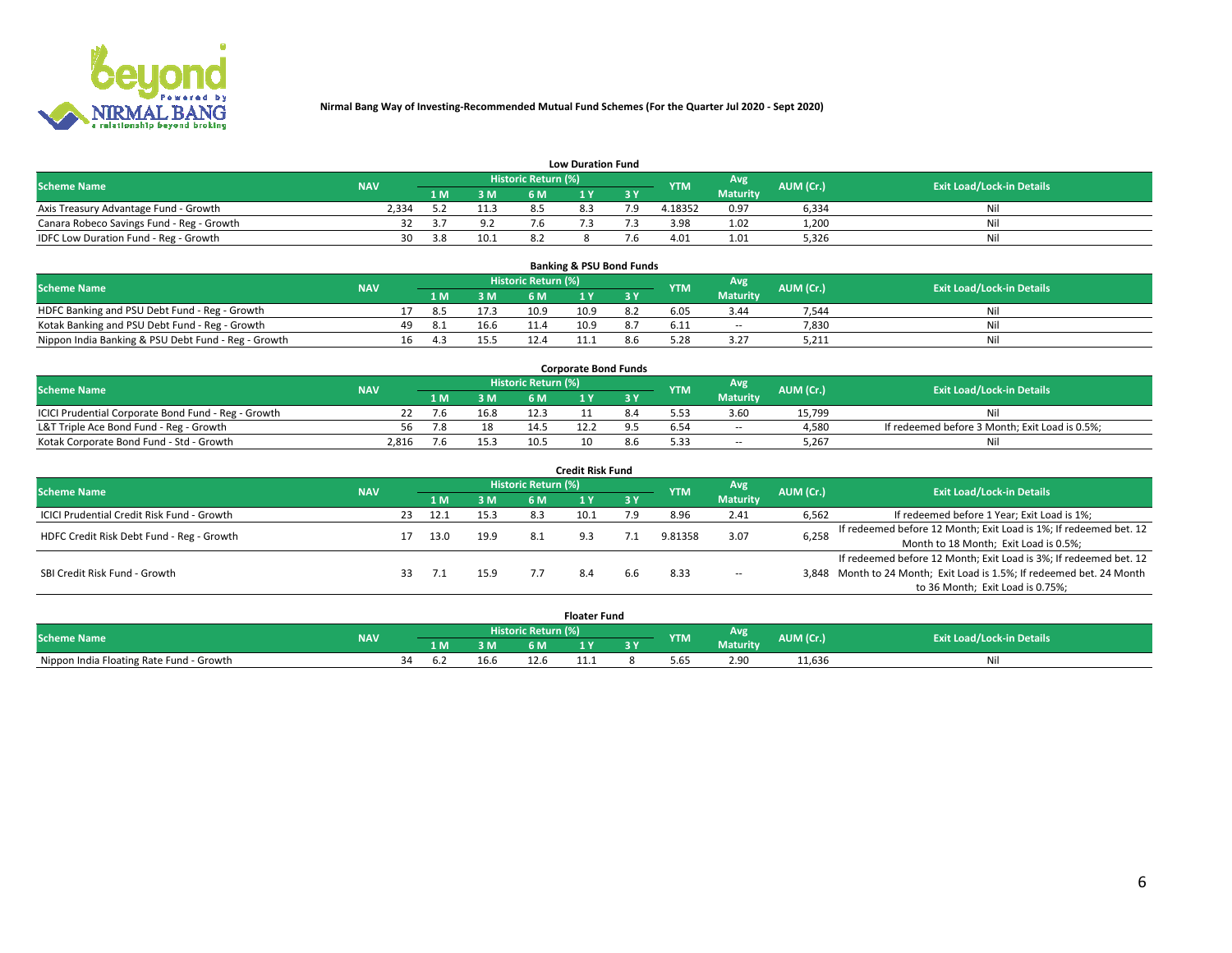

| <b>Low Duration Fund</b>                  |            |      |      |                     |     |     |            |                 |           |                                  |  |  |  |  |
|-------------------------------------------|------------|------|------|---------------------|-----|-----|------------|-----------------|-----------|----------------------------------|--|--|--|--|
| <b>Scheme Name</b>                        | <b>NAV</b> |      |      | Historic Return (%) |     |     | <b>YTM</b> | Avg             | AUM (Cr.) | <b>Exit Load/Lock-in Details</b> |  |  |  |  |
|                                           |            | L M. | 3 M  |                     |     | 3 Y |            | <b>Maturity</b> |           |                                  |  |  |  |  |
| Axis Treasury Advantage Fund - Growth     | ?.334      |      |      |                     | 8.3 |     | 4.18352    | 0.97            | 6,334     | Nil                              |  |  |  |  |
| Canara Robeco Savings Fund - Reg - Growth |            | -3.7 | 9.2  | 7.6                 |     |     | 3.98       | 1.02            | 1,200     | Nil                              |  |  |  |  |
| IDFC Low Duration Fund - Reg - Growth     | 30         | 3.8  | 10.1 |                     |     |     | 4.01       | 1.01            | 5,326     | Nil                              |  |  |  |  |

| <b>Banking &amp; PSU Bond Funds</b>                 |            |    |                                                              |      |      |      |     |      |                                  |       |     |  |  |  |
|-----------------------------------------------------|------------|----|--------------------------------------------------------------|------|------|------|-----|------|----------------------------------|-------|-----|--|--|--|
| <b>Scheme Name</b>                                  | <b>NAV</b> |    | <b>Historic Return (%)</b><br>Avg<br>AUM (Cr.)<br><b>YTM</b> |      |      |      |     |      | <b>Exit Load/Lock-in Details</b> |       |     |  |  |  |
|                                                     |            |    | 1 M                                                          | 3 M  | 6 M  |      |     |      | <b>Maturity</b>                  |       |     |  |  |  |
| HDFC Banking and PSU Debt Fund - Reg - Growth       |            |    | -8.5                                                         | 17.3 | 10.9 | 10.9 | 8.2 | 6.05 | 3.44                             | 7.544 | Nil |  |  |  |
| Kotak Banking and PSU Debt Fund - Reg - Growth      |            | 49 |                                                              | 16.6 | 11.4 | 10.9 | 8.7 | 6.11 | $\sim$ $-$                       | 7,830 | Nil |  |  |  |
| Nippon India Banking & PSU Debt Fund - Reg - Growth |            | 16 |                                                              | L5.5 |      |      |     | 5.28 | 3.27                             | 5,211 | Ni  |  |  |  |

| <b>Corporate Bond Funds</b>                         |            |  |      |                            |  |  |            |                 |           |                                                |  |  |  |  |
|-----------------------------------------------------|------------|--|------|----------------------------|--|--|------------|-----------------|-----------|------------------------------------------------|--|--|--|--|
| <b>Scheme Name</b>                                  | <b>NAV</b> |  |      | <b>Historic Return (%)</b> |  |  | <b>YTM</b> | Avg             | AUM (Cr.) | <b>Exit Load/Lock-in Details</b>               |  |  |  |  |
|                                                     |            |  | 3 M  | 6 M                        |  |  |            | <b>Maturity</b> |           |                                                |  |  |  |  |
| ICICI Prudential Corporate Bond Fund - Reg - Growth |            |  | 16.8 |                            |  |  |            | 3.60            | 15.799    | Nil                                            |  |  |  |  |
| L&T Triple Ace Bond Fund - Reg - Growth             |            |  |      |                            |  |  |            | $\sim$          | 4,580     | If redeemed before 3 Month; Exit Load is 0.5%; |  |  |  |  |
| Kotak Corporate Bond Fund - Std - Growth            | 2,816      |  | 15.3 | 10.5                       |  |  | 5.33       | $\sim$ $-$      | 5.267     | Nil                                            |  |  |  |  |

| <b>Credit Risk Fund</b>                    |            |    |      |      |                            |      |           |            |                 |           |                                                                       |  |  |  |
|--------------------------------------------|------------|----|------|------|----------------------------|------|-----------|------------|-----------------|-----------|-----------------------------------------------------------------------|--|--|--|
| <b>Scheme Name</b>                         | <b>NAV</b> |    |      |      | <b>Historic Return (%)</b> |      |           | <b>YTM</b> | Avg             | AUM (Cr.) | <b>Exit Load/Lock-in Details</b>                                      |  |  |  |
|                                            |            |    | 1 M  | 3 M  | 6 M                        |      | <b>3Y</b> |            | <b>Maturity</b> |           |                                                                       |  |  |  |
| ICICI Prudential Credit Risk Fund - Growth |            | 23 | 12.1 | 15.3 | 8.3                        | 10.1 | 7.9       | 8.96       | 2.41            | 6,562     | If redeemed before 1 Year; Exit Load is 1%;                           |  |  |  |
| HDFC Credit Risk Debt Fund - Reg - Growth  |            |    | 13.0 | 19.9 |                            |      |           | 9.81358    | 3.07            | 6,258     | If redeemed before 12 Month; Exit Load is 1%; If redeemed bet. 12     |  |  |  |
|                                            |            |    |      |      |                            |      |           |            |                 |           | Month to 18 Month; Exit Load is 0.5%;                                 |  |  |  |
|                                            |            |    |      |      |                            |      |           |            |                 |           | If redeemed before 12 Month; Exit Load is 3%; If redeemed bet. 12     |  |  |  |
| SBI Credit Risk Fund - Growth              |            |    |      | 15.9 |                            |      | b.b       | 8.33       | $\sim$ $-$      |           | 3,848 Month to 24 Month; Exit Load is 1.5%; If redeemed bet. 24 Month |  |  |  |
|                                            |            |    |      |      |                            |      |           |            |                 |           | to 36 Month; Exit Load is 0.75%;                                      |  |  |  |

| <b>Floater Fund</b>                      |            |                            |     |      |      |     |     |            |                 |           |                                  |
|------------------------------------------|------------|----------------------------|-----|------|------|-----|-----|------------|-----------------|-----------|----------------------------------|
| <b>Scheme Name</b>                       | <b>NAV</b> | <b>Historic Return (%)</b> |     |      |      |     |     | <b>YTM</b> | Avg             | AUM (Cr.) | <b>Exit Load/Lock-in Details</b> |
|                                          |            |                            | 1 M | 3 M  | 6 M' | i v | י כ |            | <b>Maturity</b> |           |                                  |
| Nippon India Floating Rate Fund - Growth |            | ≺⊿                         | D.2 | 16.b | 12.6 | .   |     | 5.65       | 2.90            | 11,636    | Νı                               |